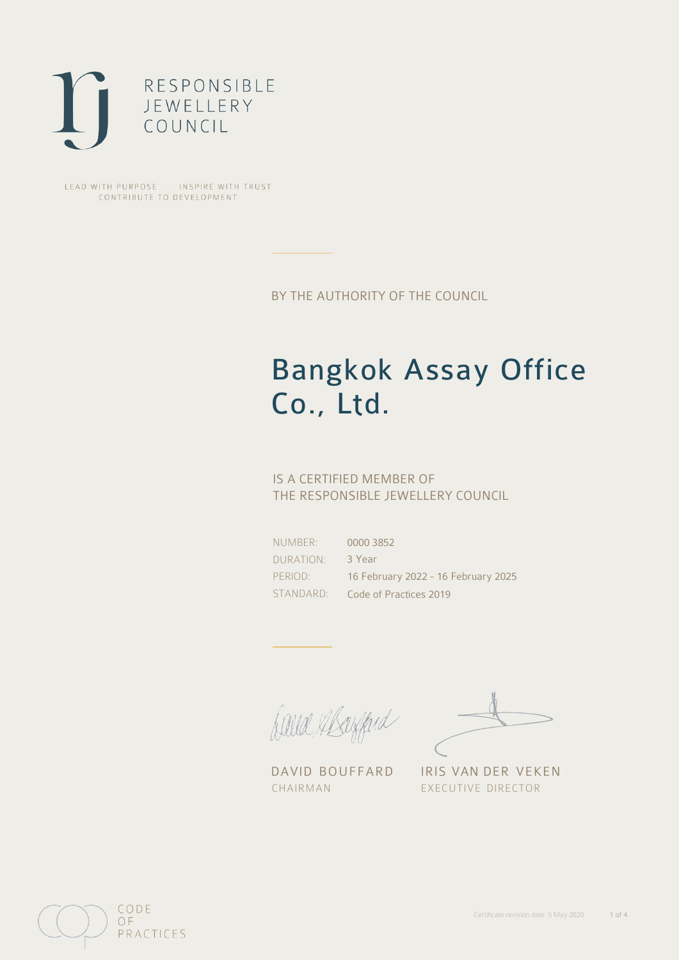

LEAD WITH PURPOSE . INSPIRE WITH TRUST CONTRIBUTE TO DEVELOPMENT

BY THE AUTHORITY OF THE COUNCIL

# Bangkok Assay Office Co., Ltd.

### IS A CERTIFIED MEMBER OF THE RESPONSIBLE JEWELLERY COUNCIL

NUMBER: DURATION: PERIOD:

STANDARD: Code of Practices 2019 0000 3852 3 Year 16 February 2022 - 16 February 2025

Balla Shayfard

DAVID BOUFFARD IRIS VAN DER VEKEN CHAIRMAN EXECUTIVE DIRECTOR

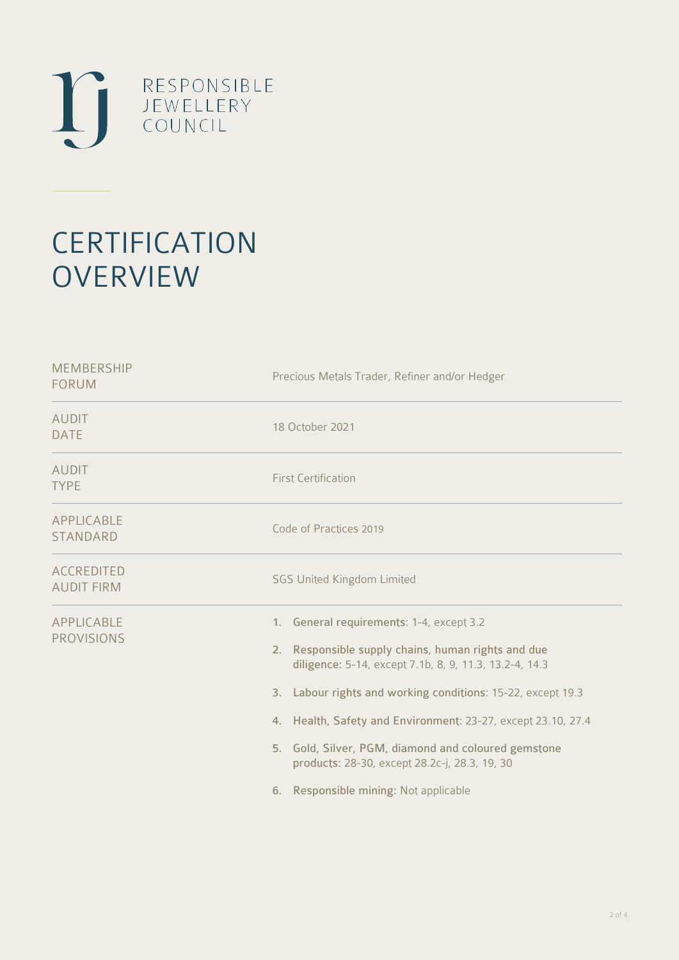

# **CERTIFICATION OVERVIEW**

| Precious Metals Trader, Refiner and/or Hedger                                                                                                                                                                                                                                                                                                                                                                                            |
|------------------------------------------------------------------------------------------------------------------------------------------------------------------------------------------------------------------------------------------------------------------------------------------------------------------------------------------------------------------------------------------------------------------------------------------|
| 18 October 2021                                                                                                                                                                                                                                                                                                                                                                                                                          |
| <b>First Certification</b>                                                                                                                                                                                                                                                                                                                                                                                                               |
| Code of Practices 2019                                                                                                                                                                                                                                                                                                                                                                                                                   |
| <b>SGS United Kingdom Limited</b>                                                                                                                                                                                                                                                                                                                                                                                                        |
| 1. General requirements: 1-4, except 3.2<br>2. Responsible supply chains, human rights and due<br>diligence: 5-14, except 7.1b, 8, 9, 11.3, 13.2-4, 14.3<br>3. Labour rights and working conditions: 15-22, except 19.3<br>4. Health, Safety and Environment: 23-27, except 23.10, 27.4<br>5. Gold, Silver, PGM, diamond and coloured gemstone<br>products: 28-30, except 28.2c-j, 28.3, 19, 30<br>6. Responsible mining: Not applicable |
|                                                                                                                                                                                                                                                                                                                                                                                                                                          |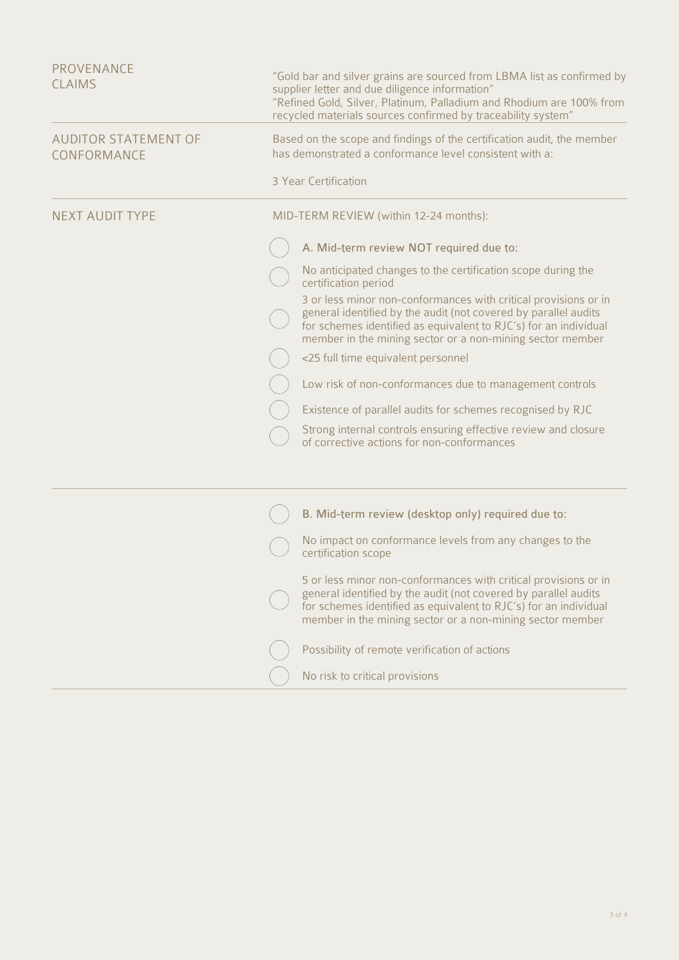| <b>PROVENANCE</b><br><b>CLAIMS</b>         | "Gold bar and silver grains are sourced from LBMA list as confirmed by<br>supplier letter and due diligence information"<br>"Refined Gold, Silver, Platinum, Palladium and Rhodium are 100% from<br>recycled materials sources confirmed by traceability system"    |
|--------------------------------------------|---------------------------------------------------------------------------------------------------------------------------------------------------------------------------------------------------------------------------------------------------------------------|
| <b>AUDITOR STATEMENT OF</b><br>CONFORMANCE | Based on the scope and findings of the certification audit, the member<br>has demonstrated a conformance level consistent with a:                                                                                                                                   |
|                                            | 3 Year Certification                                                                                                                                                                                                                                                |
| <b>NEXT AUDIT TYPE</b>                     | MID-TERM REVIEW (within 12-24 months):                                                                                                                                                                                                                              |
|                                            | A. Mid-term review NOT required due to:                                                                                                                                                                                                                             |
|                                            | No anticipated changes to the certification scope during the<br>certification period                                                                                                                                                                                |
|                                            | 3 or less minor non-conformances with critical provisions or in<br>general identified by the audit (not covered by parallel audits<br>for schemes identified as equivalent to RJC's) for an individual<br>member in the mining sector or a non-mining sector member |
|                                            | <25 full time equivalent personnel                                                                                                                                                                                                                                  |
|                                            | Low risk of non-conformances due to management controls                                                                                                                                                                                                             |
|                                            | Existence of parallel audits for schemes recognised by RJC                                                                                                                                                                                                          |
|                                            | Strong internal controls ensuring effective review and closure<br>of corrective actions for non-conformances                                                                                                                                                        |
|                                            |                                                                                                                                                                                                                                                                     |
|                                            | B. Mid-term review (desktop only) required due to:                                                                                                                                                                                                                  |
|                                            | No impact on conformance levels from any changes to the<br>certification scope                                                                                                                                                                                      |
|                                            | 5 or less minor non-conformances with critical provisions or in<br>general identified by the audit (not covered by parallel audits<br>for schemes identified as equivalent to RJC's) for an individual<br>member in the mining sector or a non-mining sector member |
|                                            | Possibility of remote verification of actions                                                                                                                                                                                                                       |
|                                            | No risk to critical provisions                                                                                                                                                                                                                                      |